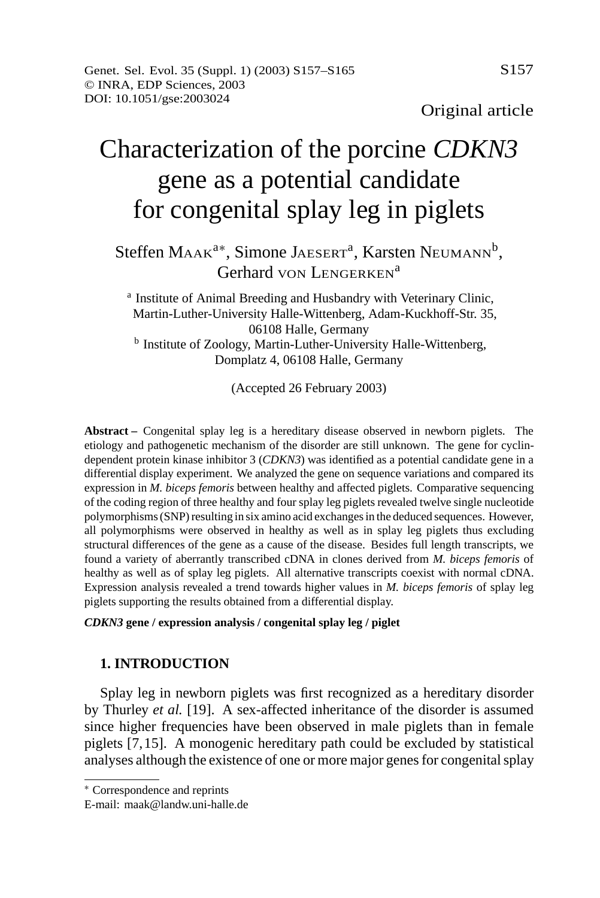# Characterization of the porcine *CDKN3* gene as a potential candidate for congenital splay leg in piglets

## Steffen Маак<sup>а∗</sup>, Simone Jaeserт<sup>a</sup>, Karsten Neumann<sup>b</sup>, Gerhard von LENGERKEN<sup>a</sup>

<sup>a</sup> Institute of Animal Breeding and Husbandry with Veterinary Clinic, Martin-Luther-University Halle-Wittenberg, Adam-Kuckhoff-Str. 35, 06108 Halle, Germany <sup>b</sup> Institute of Zoology, Martin-Luther-University Halle-Wittenberg, Domplatz 4, 06108 Halle, Germany

(Accepted 26 February 2003)

**Abstract –** Congenital splay leg is a hereditary disease observed in newborn piglets. The etiology and pathogenetic mechanism of the disorder are still unknown. The gene for cyclindependent protein kinase inhibitor 3 (*CDKN3*) was identified as a potential candidate gene in a differential display experiment. We analyzed the gene on sequence variations and compared its expression in *M. biceps femoris* between healthy and affected piglets. Comparative sequencing of the coding region of three healthy and four splay leg piglets revealed twelve single nucleotide polymorphisms (SNP) resulting in six amino acid exchanges in the deduced sequences. However, all polymorphisms were observed in healthy as well as in splay leg piglets thus excluding structural differences of the gene as a cause of the disease. Besides full length transcripts, we found a variety of aberrantly transcribed cDNA in clones derived from *M. biceps femoris* of healthy as well as of splay leg piglets. All alternative transcripts coexist with normal cDNA. Expression analysis revealed a trend towards higher values in *M. biceps femoris* of splay leg piglets supporting the results obtained from a differential display.

*CDKN3* **gene / expression analysis / congenital splay leg / piglet**

## **1. INTRODUCTION**

Splay leg in newborn piglets was first recognized as a hereditary disorder by Thurley *et al.* [19]. A sex-affected inheritance of the disorder is assumed since higher frequencies have been observed in male piglets than in female piglets [7,15]. A monogenic hereditary path could be excluded by statistical analyses although the existence of one or more major genes for congenital splay

<sup>∗</sup> Correspondence and reprints

E-mail: maak@landw.uni-halle.de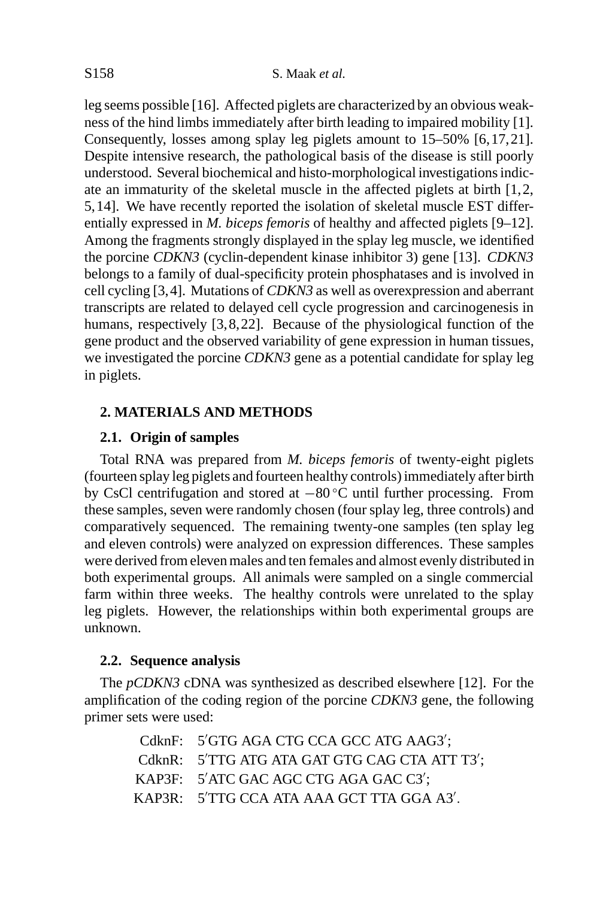leg seems possible [16]. Affected piglets are characterized by an obvious weakness of the hind limbs immediately after birth leading to impaired mobility [1]. Consequently, losses among splay leg piglets amount to 15–50% [6,17,21]. Despite intensive research, the pathological basis of the disease is still poorly understood. Several biochemical and histo-morphological investigations indicate an immaturity of the skeletal muscle in the affected piglets at birth [1,2, 5,14]. We have recently reported the isolation of skeletal muscle EST differentially expressed in *M. biceps femoris* of healthy and affected piglets [9–12]. Among the fragments strongly displayed in the splay leg muscle, we identified the porcine *CDKN3* (cyclin-dependent kinase inhibitor 3) gene [13]. *CDKN3* belongs to a family of dual-specificity protein phosphatases and is involved in cell cycling [3,4]. Mutations of *CDKN3* as well as overexpression and aberrant transcripts are related to delayed cell cycle progression and carcinogenesis in humans, respectively [3,8,22]. Because of the physiological function of the gene product and the observed variability of gene expression in human tissues, we investigated the porcine *CDKN3* gene as a potential candidate for splay leg in piglets.

## **2. MATERIALS AND METHODS**

## **2.1. Origin of samples**

Total RNA was prepared from *M. biceps femoris* of twenty-eight piglets (fourteen splay leg piglets and fourteen healthy controls) immediately after birth by CsCl centrifugation and stored at −80 ◦C until further processing. From these samples, seven were randomly chosen (four splay leg, three controls) and comparatively sequenced. The remaining twenty-one samples (ten splay leg and eleven controls) were analyzed on expression differences. These samples were derived from eleven males and ten females and almost evenly distributed in both experimental groups. All animals were sampled on a single commercial farm within three weeks. The healthy controls were unrelated to the splay leg piglets. However, the relationships within both experimental groups are unknown.

## **2.2. Sequence analysis**

The *pCDKN3* cDNA was synthesized as described elsewhere [12]. For the amplification of the coding region of the porcine *CDKN3* gene, the following primer sets were used:

| CdknF: 5'GTG AGA CTG CCA GCC ATG AAG3';       |
|-----------------------------------------------|
| CdknR: 5'TTG ATG ATA GAT GTG CAG CTA ATT T3': |
| KAP3F: 5'ATC GAC AGC CTG AGA GAC C3';         |
| KAP3R: 5'TTG CCA ATA AAA GCT TTA GGA A3'.     |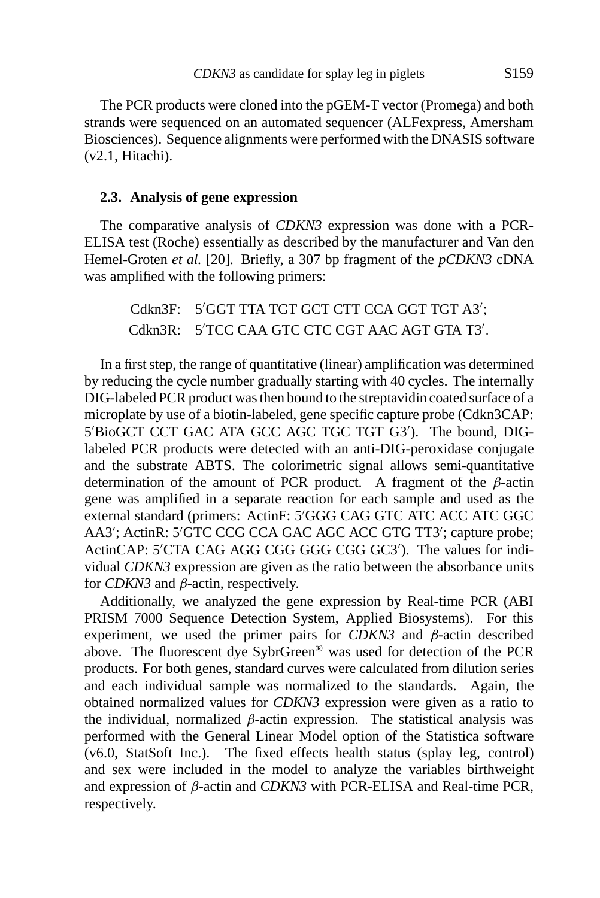The PCR products were cloned into the pGEM-T vector (Promega) and both strands were sequenced on an automated sequencer (ALFexpress, Amersham Biosciences). Sequence alignments were performed with the DNASIS software (v2.1, Hitachi).

## **2.3. Analysis of gene expression**

The comparative analysis of *CDKN3* expression was done with a PCR-ELISA test (Roche) essentially as described by the manufacturer and Van den Hemel-Groten *et al.* [20]. Briefly, a 307 bp fragment of the *pCDKN3* cDNA was amplified with the following primers:

 $Cdkn3F:$ GGT TTA TGT GCT CTT CCA GGT TGT A3′; Cdkn3R: 5<sup>'</sup>TCC CAA GTC CTC CGT AAC AGT GTA T3'.

In a first step, the range of quantitative (linear) amplification was determined by reducing the cycle number gradually starting with 40 cycles. The internally DIG-labeled PCR product was then bound to the streptavidin coated surface of a microplate by use of a biotin-labeled, gene specific capture probe (Cdkn3CAP: 5'BioGCT CCT GAC ATA GCC AGC TGC TGT G3'). The bound, DIGlabeled PCR products were detected with an anti-DIG-peroxidase conjugate and the substrate ABTS. The colorimetric signal allows semi-quantitative determination of the amount of PCR product. A fragment of the  $\beta$ -actin gene was amplified in a separate reaction for each sample and used as the external standard (primers: ActinF: 5'GGG CAG GTC ATC ACC ATC GGC AA3'; ActinR: 5'GTC CCG CCA GAC AGC ACC GTG TT3'; capture probe; ActinCAP: 5'CTA CAG AGG CGG GGG CGG GC3'). The values for individual *CDKN3* expression are given as the ratio between the absorbance units for *CDKN3* and β-actin, respectively.

Additionally, we analyzed the gene expression by Real-time PCR (ABI PRISM 7000 Sequence Detection System, Applied Biosystems). For this experiment, we used the primer pairs for *CDKN3* and β-actin described above. The fluorescent dye SybrGreen® was used for detection of the PCR products. For both genes, standard curves were calculated from dilution series and each individual sample was normalized to the standards. Again, the obtained normalized values for *CDKN3* expression were given as a ratio to the individual, normalized  $\beta$ -actin expression. The statistical analysis was performed with the General Linear Model option of the Statistica software (v6.0, StatSoft Inc.). The fixed effects health status (splay leg, control) and sex were included in the model to analyze the variables birthweight and expression of β-actin and *CDKN3* with PCR-ELISA and Real-time PCR, respectively.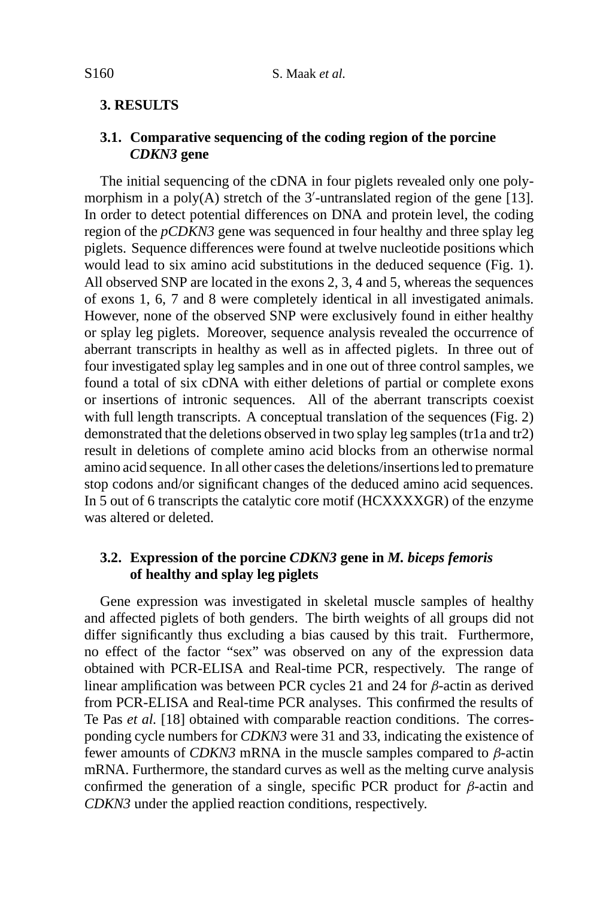#### **3. RESULTS**

## **3.1. Comparative sequencing of the coding region of the porcine** *CDKN3* **gene**

The initial sequencing of the cDNA in four piglets revealed only one polymorphism in a poly $(A)$  stretch of the 3'-untranslated region of the gene [13]. In order to detect potential differences on DNA and protein level, the coding region of the *pCDKN3* gene was sequenced in four healthy and three splay leg piglets. Sequence differences were found at twelve nucleotide positions which would lead to six amino acid substitutions in the deduced sequence (Fig. 1). All observed SNP are located in the exons 2, 3, 4 and 5, whereas the sequences of exons 1, 6, 7 and 8 were completely identical in all investigated animals. However, none of the observed SNP were exclusively found in either healthy or splay leg piglets. Moreover, sequence analysis revealed the occurrence of aberrant transcripts in healthy as well as in affected piglets. In three out of four investigated splay leg samples and in one out of three control samples, we found a total of six cDNA with either deletions of partial or complete exons or insertions of intronic sequences. All of the aberrant transcripts coexist with full length transcripts. A conceptual translation of the sequences (Fig. 2) demonstrated that the deletions observed in two splay leg samples (tr1a and tr2) result in deletions of complete amino acid blocks from an otherwise normal amino acid sequence. In all other cases the deletions/insertions led to premature stop codons and/or significant changes of the deduced amino acid sequences. In 5 out of 6 transcripts the catalytic core motif (HCXXXXGR) of the enzyme was altered or deleted.

### **3.2. Expression of the porcine** *CDKN3* **gene in** *M. biceps femoris* **of healthy and splay leg piglets**

Gene expression was investigated in skeletal muscle samples of healthy and affected piglets of both genders. The birth weights of all groups did not differ significantly thus excluding a bias caused by this trait. Furthermore, no effect of the factor "sex" was observed on any of the expression data obtained with PCR-ELISA and Real-time PCR, respectively. The range of linear amplification was between PCR cycles 21 and 24 for β-actin as derived from PCR-ELISA and Real-time PCR analyses. This confirmed the results of Te Pas *et al.* [18] obtained with comparable reaction conditions. The corresponding cycle numbers for *CDKN3* were 31 and 33, indicating the existence of fewer amounts of *CDKN3* mRNA in the muscle samples compared to β-actin mRNA. Furthermore, the standard curves as well as the melting curve analysis confirmed the generation of a single, specific PCR product for  $\beta$ -actin and *CDKN3* under the applied reaction conditions, respectively.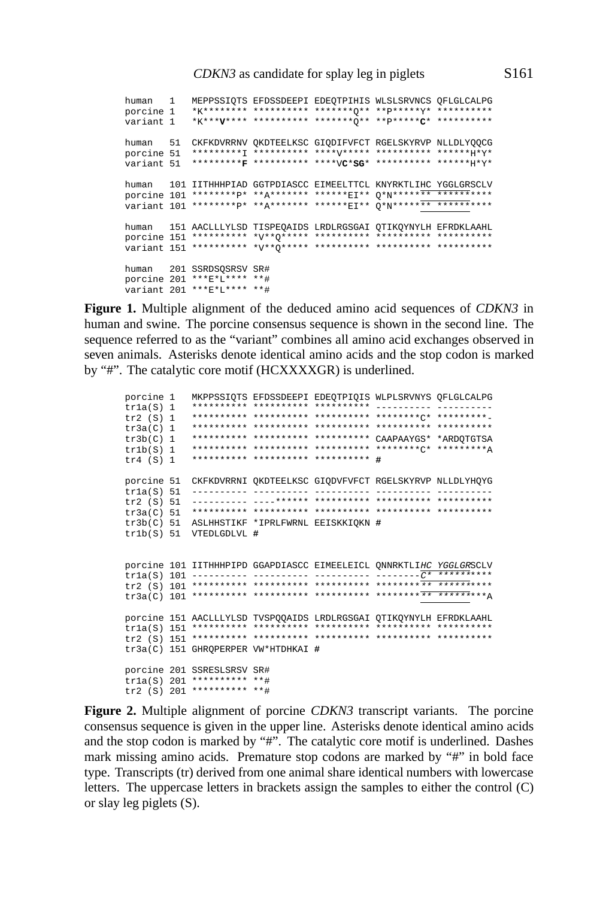human 1 MEPPSSIQTS EFDSSDEEPI EDEQTPIHIS WLSLSRVNCS QFLGLCALPG porcine 1 \*K\*\*\*\*\*\*\*\* \*\*\*\*\*\*\*\*\*\* \*\*\*\*\*\*\*Q\*\* \*\*P\*\*\*\*\*Y\* \*\*\*\*\*\*\*\*\*\* variant 1 \*K\*\*\***V**\*\*\*\* \*\*\*\*\*\*\*\*\*\* \*\*\*\*\*\*\*Q\*\* \*\*P\*\*\*\*\***C**\* \*\*\*\*\*\*\*\*\*\* human 51 CKFKDVRRNV QKDTEELKSC GIQDIFVFCT RGELSKYRVP NLLDLYQQCG porcine 51 \*\*\*\*\*\*\*\*\*I \*\*\*\*\*\*\*\*\*\* \*\*\*\*V\*\*\*\*\* \*\*\*\*\*\*\*\*\*\* \*\*\*\*\*\*H\*Y\* variant 51 \*\*\*\*\*\*\*\*\***F** \*\*\*\*\*\*\*\*\*\* \*\*\*\*V**C**\***SG**\* \*\*\*\*\*\*\*\*\*\* \*\*\*\*\*\*H\*Y\* human 101 IITHHHPIAD GGTPDIASCC EIMEELTTCL KNYRKTLIHC YGGLGRSCLV porcine 101 \*\*\*\*\*\*\*\*p\* \*\*A\*\*\*\*\*\*\* \*\*\*\*\*\*EI\*\* Q\*N\*\*\*\*\*\*\* \*\*\*\*\*\*\*\*\*\*\* variant 101 \*\*\*\*\*\*\*\*P\* \*\*A\*\*\*\*\*\*\* \*\*\*\*\*\*EI\*\* Q\*N\*\*\*\*\*\*\* \*\*\*\*\*\*\*\*\*\*\* human 151 AACLLLYLSD TISPEQAIDS LRDLRGSGAI QTIKQYNYLH EFRDKLAAHL porcine 151 \*\*\*\*\*\*\*\*\*\* \*V\*\*Q\*\*\*\*\* \*\*\*\*\*\*\*\*\*\* \*\*\*\*\*\*\*\*\*\* \*\*\*\*\*\*\*\*\*\* variant 151 \*\*\*\*\*\*\*\*\*\* \*V\*\*Q\*\*\*\*\* \*\*\*\*\*\*\*\*\*\* \*\*\*\*\*\*\*\*\*\* \*\*\*\*\*\*\*\*\*\* human 201 SSRDSQSRSV SR# porcine 201 \*\*\*E\*L\*\*\*\* \*\*# variant 201 \*\*\*E\*L\*\*\*\* \*\*#

**Figure 1.** Multiple alignment of the deduced amino acid sequences of *CDKN3* in human and swine. The porcine consensus sequence is shown in the second line. The sequence referred to as the "variant" combines all amino acid exchanges observed in seven animals. Asterisks denote identical amino acids and the stop codon is marked by "#". The catalytic core motif (HCXXXXGR) is underlined.

```
porcine 1 MKPPSSIQTS EFDSSDEEPI EDEQTPIQIS WLPLSRVNYS QFLGLCALPG
tr1a(S) 1 ********** ********** ********** ---------- ----------
            tr2 (S) 1 ********** ********** ********** ********C* *********-
tr3a(C) 1 ********** ********** ********** ********** **********
tr3b(C) 1 ********** ********** ********** CAAPAAYGS* *ARDQTGTSA
            tr1b(S) 1 ********** ********** ********** ********C* *********A
tr4 (S) 1 ********** ********** ********** #
porcine 51 CKFKDVRRNI QKDTEELKSC GIQDVFVFCT RGELSKYRVP NLLDLYHQYG
tr1a(S) 51 ---------- ---------- ---------- ---------- ----------
tr2 (S) 51 ---------- ----****** ********** ********** **********
tr3a(C) 51 ********** ********** ********** ********** **********
tr3b(C) 51 ASLHHSTIKF *IPRLFWRNL EEISKKIQKN #
tr1b(S) 51 VTEDLGDLVL #
porcine 101 IITHHHPIPD GGAPDIASCC EIMEELEICL QNNRKTLIHC YGGLGRSCLV
tr1a(S) 101 ---------- ---------- ---------- --------C* **********
tr2 (S) 101 ********** ********** ********** ********** **********
tr3a(C) 101 ********** ********** ********** ********** *********A
porcine 151 AACLLLYLSD TVSPQQAIDS LRDLRGSGAI QTIKQYNYLH EFRDKLAAHL
tr1a(S) 151 ********** ********** ********** ********** **********
tr2 (S) 151 ********** ********** ********** ********** **********
tr3a(C) 151 GHRQPERPER VW*HTDHKAI #
porcine 201 SSRESLSRSV SR#
tr1a(S) 201 ********** **#
tr2 (S) 201 ********** **#
```
**Figure 2.** Multiple alignment of porcine *CDKN3* transcript variants. The porcine consensus sequence is given in the upper line. Asterisks denote identical amino acids and the stop codon is marked by "#". The catalytic core motif is underlined. Dashes mark missing amino acids. Premature stop codons are marked by "#" in bold face type. Transcripts (tr) derived from one animal share identical numbers with lowercase letters. The uppercase letters in brackets assign the samples to either the control (C) or slay leg piglets (S).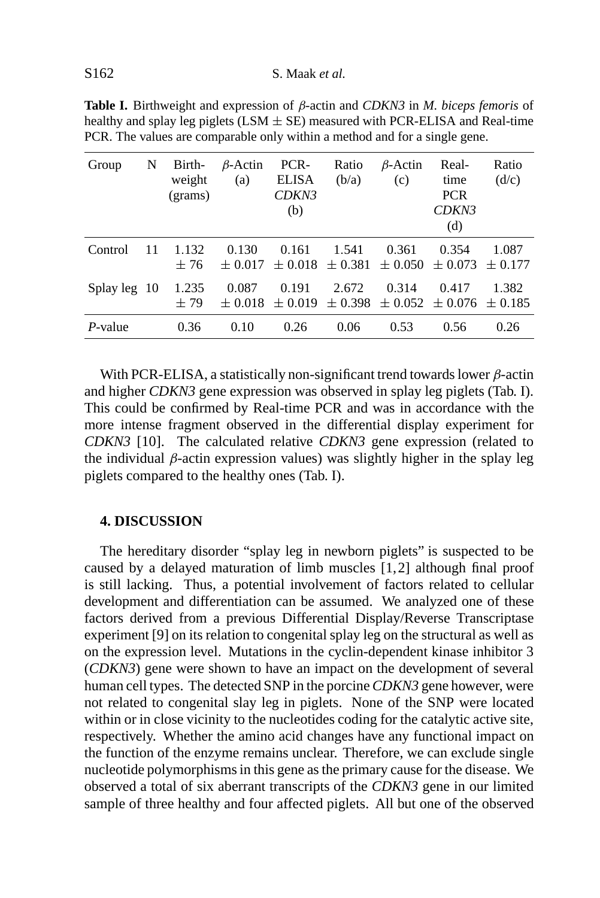**Table I.** Birthweight and expression of β-actin and *CDKN3* in *M. biceps femoris* of healthy and splay leg piglets (LSM  $\pm$  SE) measured with PCR-ELISA and Real-time PCR. The values are comparable only within a method and for a single gene.

| Group        | N  | Birth-<br>weight<br>(grams) | $\beta$ -Actin<br>(a) | PCR-<br>ELISA<br>CDKN3<br>(b) | Ratio<br>(b/a) | $\beta$ -Actin<br>(c)                                                | Real-<br>time<br><b>PCR</b><br>CDKN3<br>(d) | Ratio<br>(d/c) |
|--------------|----|-----------------------------|-----------------------|-------------------------------|----------------|----------------------------------------------------------------------|---------------------------------------------|----------------|
| Control      | 11 | 1.132<br>±76                | 0.130<br>$+0.017$     | 0.161                         | 1.541          | 0.361<br>$\pm 0.018$ $\pm 0.381$ $\pm 0.050$ $\pm 0.073$ $\pm 0.177$ | 0.354                                       | 1.087          |
| Splay leg 10 |    | 1.235<br>±79                | 0.087<br>$+0.018$     | 0.191<br>$\pm 0.019$          | 2.672          | 0.314<br>$\pm$ 0.398 $\pm$ 0.052 $\pm$ 0.076 $\pm$ 0.185             | 0.417                                       | 1.382          |
| P-value      |    | 0.36                        | 0.10                  | 0.26                          | 0.06           | 0.53                                                                 | 0.56                                        | 0.26           |

With PCR-ELISA, a statistically non-significant trend towards lower  $\beta$ -actin and higher *CDKN3* gene expression was observed in splay leg piglets (Tab. I). This could be confirmed by Real-time PCR and was in accordance with the more intense fragment observed in the differential display experiment for *CDKN3* [10]. The calculated relative *CDKN3* gene expression (related to the individual  $\beta$ -actin expression values) was slightly higher in the splay leg piglets compared to the healthy ones (Tab. I).

#### **4. DISCUSSION**

The hereditary disorder "splay leg in newborn piglets" is suspected to be caused by a delayed maturation of limb muscles [1,2] although final proof is still lacking. Thus, a potential involvement of factors related to cellular development and differentiation can be assumed. We analyzed one of these factors derived from a previous Differential Display/Reverse Transcriptase experiment [9] on its relation to congenital splay leg on the structural as well as on the expression level. Mutations in the cyclin-dependent kinase inhibitor 3 (*CDKN3*) gene were shown to have an impact on the development of several human cell types. The detected SNP in the porcine *CDKN3* gene however, were not related to congenital slay leg in piglets. None of the SNP were located within or in close vicinity to the nucleotides coding for the catalytic active site, respectively. Whether the amino acid changes have any functional impact on the function of the enzyme remains unclear. Therefore, we can exclude single nucleotide polymorphisms in this gene as the primary cause for the disease. We observed a total of six aberrant transcripts of the *CDKN3* gene in our limited sample of three healthy and four affected piglets. All but one of the observed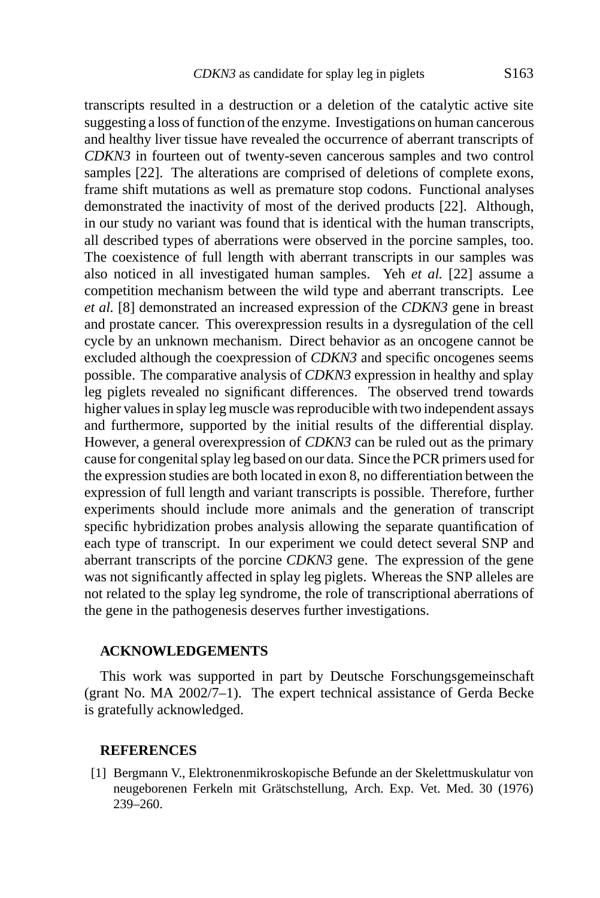transcripts resulted in a destruction or a deletion of the catalytic active site suggesting a loss of function of the enzyme. Investigations on human cancerous and healthy liver tissue have revealed the occurrence of aberrant transcripts of *CDKN3* in fourteen out of twenty-seven cancerous samples and two control samples [22]. The alterations are comprised of deletions of complete exons, frame shift mutations as well as premature stop codons. Functional analyses demonstrated the inactivity of most of the derived products [22]. Although, in our study no variant was found that is identical with the human transcripts, all described types of aberrations were observed in the porcine samples, too. The coexistence of full length with aberrant transcripts in our samples was also noticed in all investigated human samples. Yeh *et al.* [22] assume a competition mechanism between the wild type and aberrant transcripts. Lee *et al.* [8] demonstrated an increased expression of the *CDKN3* gene in breast and prostate cancer. This overexpression results in a dysregulation of the cell cycle by an unknown mechanism. Direct behavior as an oncogene cannot be excluded although the coexpression of *CDKN3* and specific oncogenes seems possible. The comparative analysis of *CDKN3* expression in healthy and splay leg piglets revealed no significant differences. The observed trend towards higher values in splay leg muscle was reproducible with two independent assays and furthermore, supported by the initial results of the differential display. However, a general overexpression of *CDKN3* can be ruled out as the primary cause for congenital splay leg based on our data. Since the PCR primers used for the expression studies are both located in exon 8, no differentiation between the expression of full length and variant transcripts is possible. Therefore, further experiments should include more animals and the generation of transcript specific hybridization probes analysis allowing the separate quantification of each type of transcript. In our experiment we could detect several SNP and aberrant transcripts of the porcine *CDKN3* gene. The expression of the gene was not significantly affected in splay leg piglets. Whereas the SNP alleles are not related to the splay leg syndrome, the role of transcriptional aberrations of the gene in the pathogenesis deserves further investigations.

#### **ACKNOWLEDGEMENTS**

This work was supported in part by Deutsche Forschungsgemeinschaft (grant No. MA 2002/7–1). The expert technical assistance of Gerda Becke is gratefully acknowledged.

#### **REFERENCES**

[1] Bergmann V., Elektronenmikroskopische Befunde an der Skelettmuskulatur von neugeborenen Ferkeln mit Grätschstellung, Arch. Exp. Vet. Med. 30 (1976) 239–260.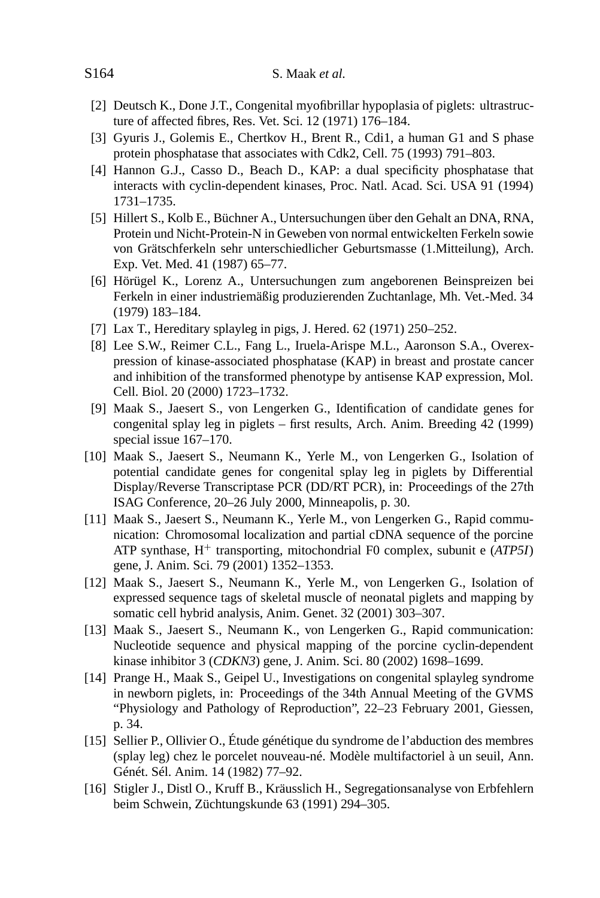- [2] Deutsch K., Done J.T., Congenital myofibrillar hypoplasia of piglets: ultrastructure of affected fibres, Res. Vet. Sci. 12 (1971) 176–184.
- [3] Gyuris J., Golemis E., Chertkov H., Brent R., Cdi1, a human G1 and S phase protein phosphatase that associates with Cdk2, Cell. 75 (1993) 791–803.
- [4] Hannon G.J., Casso D., Beach D., KAP: a dual specificity phosphatase that interacts with cyclin-dependent kinases, Proc. Natl. Acad. Sci. USA 91 (1994) 1731–1735.
- [5] Hillert S., Kolb E., Büchner A., Untersuchungen über den Gehalt an DNA, RNA, Protein und Nicht-Protein-N in Geweben von normal entwickelten Ferkeln sowie von Grätschferkeln sehr unterschiedlicher Geburtsmasse (1.Mitteilung), Arch. Exp. Vet. Med. 41 (1987) 65–77.
- [6] Hörügel K., Lorenz A., Untersuchungen zum angeborenen Beinspreizen bei Ferkeln in einer industriemäßig produzierenden Zuchtanlage, Mh. Vet.-Med. 34 (1979) 183–184.
- [7] Lax T., Hereditary splayleg in pigs, J. Hered. 62 (1971) 250–252.
- [8] Lee S.W., Reimer C.L., Fang L., Iruela-Arispe M.L., Aaronson S.A., Overexpression of kinase-associated phosphatase (KAP) in breast and prostate cancer and inhibition of the transformed phenotype by antisense KAP expression, Mol. Cell. Biol. 20 (2000) 1723–1732.
- [9] Maak S., Jaesert S., von Lengerken G., Identification of candidate genes for congenital splay leg in piglets – first results, Arch. Anim. Breeding 42 (1999) special issue 167–170.
- [10] Maak S., Jaesert S., Neumann K., Yerle M., von Lengerken G., Isolation of potential candidate genes for congenital splay leg in piglets by Differential Display/Reverse Transcriptase PCR (DD/RT PCR), in: Proceedings of the 27th ISAG Conference, 20–26 July 2000, Minneapolis, p. 30.
- [11] Maak S., Jaesert S., Neumann K., Yerle M., von Lengerken G., Rapid communication: Chromosomal localization and partial cDNA sequence of the porcine ATP synthase, H<sup>+</sup> transporting, mitochondrial F0 complex, subunit e (*ATP5I*) gene, J. Anim. Sci. 79 (2001) 1352–1353.
- [12] Maak S., Jaesert S., Neumann K., Yerle M., von Lengerken G., Isolation of expressed sequence tags of skeletal muscle of neonatal piglets and mapping by somatic cell hybrid analysis, Anim. Genet. 32 (2001) 303–307.
- [13] Maak S., Jaesert S., Neumann K., von Lengerken G., Rapid communication: Nucleotide sequence and physical mapping of the porcine cyclin-dependent kinase inhibitor 3 (*CDKN3*) gene, J. Anim. Sci. 80 (2002) 1698–1699.
- [14] Prange H., Maak S., Geipel U., Investigations on congenital splayleg syndrome in newborn piglets, in: Proceedings of the 34th Annual Meeting of the GVMS "Physiology and Pathology of Reproduction", 22–23 February 2001, Giessen, p. 34.
- [15] Sellier P., Ollivier O., Étude génétique du syndrome de l'abduction des membres (splay leg) chez le porcelet nouveau-né. Modèle multifactoriel à un seuil, Ann. Génét. Sél. Anim. 14 (1982) 77–92.
- [16] Stigler J., Distl O., Kruff B., Kräusslich H., Segregationsanalyse von Erbfehlern beim Schwein, Züchtungskunde 63 (1991) 294–305.